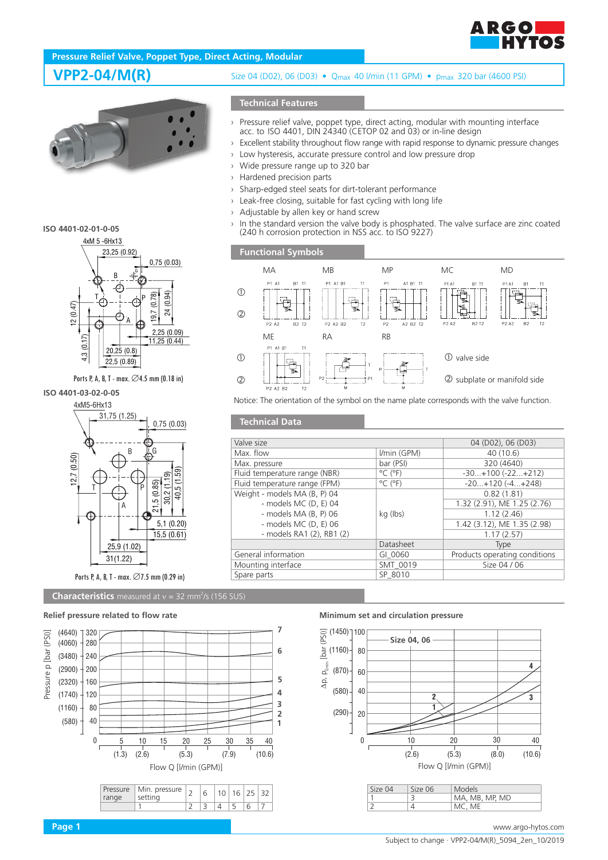

# **Pressure Relief Valve, Poppet Type, Direct Acting, Modular**



### **ISO 4401-02-01-0-05**



Ports P, A, B, T - max. ∅4.5 mm (0.18 in)

# **ISO 4401-03-02-0-05**



### **Characteristics** measured at  $v = 32$  mm<sup>2</sup>/s (156 SUS)



## **VPP2-04/M(R)** Size 04 (D02), 06 (D03) • Q<sub>max</sub> 40 Vmin (11 GPM) • p<sub>max</sub> 320 bar (4600 PSI)

## **Technical Features**

- › Pressure relief valve, poppet type, direct acting, modular with mounting interface acc. to ISO 4401, DIN 24340 (CETOP 02 and 03) or in-line design
- › Excellent stability throughout flow range with rapid response to dynamic pressure changes
- › Low hysteresis, accurate pressure control and low pressure drop
- › Wide pressure range up to 320 bar
- › Hardened precision parts
- › Sharp-edged steel seats for dirt-tolerant performance
- › Leak-free closing, suitable for fast cycling with long life
- › Adjustable by allen key or hand screw
- $\rightarrow$  In the standard version the valve body is phosphated. The valve surface are zinc coated (240 h corrosion protection in NSS acc. to ISO 9227)

**Functional Symbols**

**Technical Data**



Notice: The orientation of the symbol on the name plate corresponds with the valve function.

| Valve size                    |                              | 04 (D02), 06 (D03)            |
|-------------------------------|------------------------------|-------------------------------|
| Max. flow                     | I/min (GPM)                  | 40(10.6)                      |
| Max. pressure                 | bar (PSI)                    | 320 (4640)                    |
| Fluid temperature range (NBR) | $^{\circ}$ C ( $^{\circ}$ F) | $-30+100(-22+212)$            |
| Fluid temperature range (FPM) | $^{\circ}$ C ( $^{\circ}$ F) | $-20+120(-4+248)$             |
| Weight - models MA (B, P) 04  |                              | 0.82(1.81)                    |
| - models MC (D, E) 04         |                              | 1.32 (2.91), ME 1.25 (2.76)   |
| - models $MA$ $(B, P)$ 06     | kg (lbs)                     | 1.12(2.46)                    |
| - models MC (D, E) 06         |                              | 1.42 (3.12), ME 1.35 (2.98)   |
| - models RA1 (2), RB1 (2)     |                              | 1.17(2.57)                    |
|                               | Datasheet                    | Type                          |
| General information           | GI 0060                      | Products operating conditions |
| Mounting interface            | SMT 0019                     | Size 04 / 06                  |
| Spare parts                   | SP 8010                      |                               |
|                               |                              |                               |

### **Minimum set and circulation pressure**



4 MC, ME